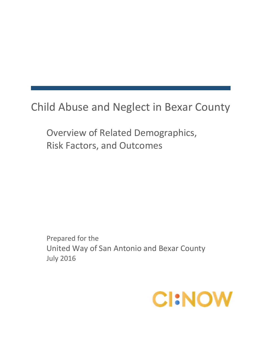Child Abuse and Neglect in Bexar County

Overview of Related Demographics, Risk Factors, and Outcomes

Prepared for the United Way of San Antonio and Bexar County July 2016

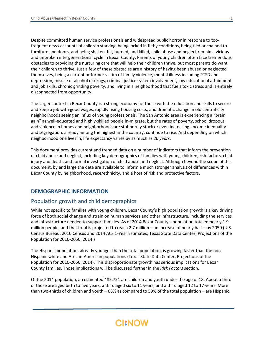Despite committed human service professionals and widespread public horror in response to toofrequent news accounts of children starving, being locked in filthy conditions, being tied or chained to furniture and doors, and being shaken, hit, burned, and killed, child abuse and neglect remain a vicious and unbroken intergenerational cycle in Bexar County. Parents of young children often face tremendous obstacles to providing the nurturing care that will help their children thrive, but most parents do want their children to thrive. Just a few of these obstacles are a history of having been abused or neglected themselves, being a current or former victim of family violence, mental illness including PTSD and depression, misuse of alcohol or drugs, criminal justice system involvement, low educational attainment and job skills, chronic grinding poverty, and living in a neighborhood that fuels toxic stress and is entirely disconnected from opportunity.

The larger context in Bexar County is a strong economy for those with the education and skills to secure and keep a job with good wages, rapidly rising housing costs, and dramatic change in old central-city neighborhoods seeing an influx of young professionals. The San Antonio area is experiencing a "brain gain" as well-educated and highly-skilled people in-migrate, but the rates of poverty, school dropout, and violence in homes and neighborhoods are stubbornly stuck or even increasing. Income inequality and segregation, already among the highest in the country, continue to rise. And depending on which neighborhood one lives in, life expectancy varies by as much as *20 years*.

This document provides current and trended data on a number of indicators that inform the prevention of child abuse and neglect, including key demographics of families with young children, risk factors, child injury and death, and formal investigation of child abuse and neglect. Although beyond the scope of this document, by and large the data are available to inform a much stronger analysis of differences within Bexar County by neighborhood, race/ethnicity, and a host of risk and protective factors.

### **DEMOGRAPHIC INFORMATION**

### Population growth and child demographics

While not specific to families with young children, Bexar County's high population growth is a key driving force of both social change and strain on human services and other infrastructure, including the services and infrastructure needed to support families. As of 2014 Bexar County's population totaled nearly 1.9 million people, and that total is projected to reach 2.7 million – an increase of nearly half – by 2050 (U.S. Census Bureau; 2010 Census and 2014 ACS 1-Year Estimates; Texas State Data Center; Projections of the Population for 2010-2050, 2014.)

The Hispanic population, already younger than the total population, is growing faster than the non-Hispanic white and African-American populations (Texas State Data Center, Projections of the Population for 2010-2050, 2014). This disproportionate growth has serious implications for Bexar County families. Those implications will be discussed further in the *Risk Factors* section.

Of the 2014 population, an estimated 485,751 are children and youth under the age of 18. About a third of those are aged birth to five years, a third aged six to 11 years, and a third aged 12 to 17 years. More than two-thirds of children and youth – 68% as compared to 59% of the total population – are Hispanic.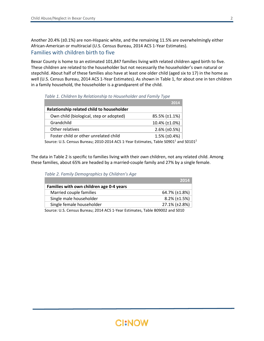Another 20.4% (±0.1%) are non-Hispanic white, and the remaining 11.5% are overwhelmingly either African-American or multiracial (U.S. Census Bureau, 2014 ACS 1-Year Estimates). Families with children birth to five

Bexar County is home to an estimated 101,847 families living with related children aged birth to five. These children are related to the householder but not necessarily the householder's own natural or stepchild. About half of these families also have at least one older child (aged six to 17) in the home as well (U.S. Census Bureau, 2014 ACS 1-Year Estimates). As shown in Table 1, for about one in ten children in a family household, the householder is a grandparent of the child.

|                                                                                                             | 2014                    |
|-------------------------------------------------------------------------------------------------------------|-------------------------|
| Relationship related child to householder                                                                   |                         |
| Own child (biological, step or adopted)                                                                     | 85.5% (±1.1%)           |
| Grandchild                                                                                                  | 10.4% (±1.0%)           |
| Other relatives                                                                                             | $2.6\%$ ( $\pm 0.5\%$ ) |
| Foster child or other unrelated child                                                                       | $1.5\%$ ( $\pm 0.4\%$ ) |
| Source: U.S. Census Bureau; 2010-2014 ACS 1-Year Estimates, Table S0901 <sup>1</sup> and S0101 <sup>2</sup> |                         |

*Table 1. Children by Relationship to Householder and Family Type*

The data in Table 2 is specific to families living with their *own* children, not any related child. Among these families, about 65% are headed by a married-couple family and 27% by a single female.

*Table 2. Family Demographics by Children's Age*

|                                          | 2014                    |
|------------------------------------------|-------------------------|
| Families with own children age 0-4 years |                         |
| Married couple families                  | 64.7% (±1.8%)           |
| Single male householder                  | $8.2\%$ ( $\pm 1.5\%$ ) |
| Single female householder                | 27.1% (±2.8%)           |

Source: U.S. Census Bureau; 2014 ACS 1-Year Estimates, Table B09002 and S010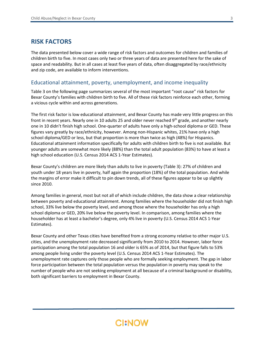### **RISK FACTORS**

The data presented below cover a wide range of risk factors and outcomes for children and families of children birth to five. In most cases only two or three years of data are presented here for the sake of space and readability. But in all cases at least five years of data, often disaggregated by race/ethnicity and zip code, are available to inform interventions.

#### Educational attainment, poverty, unemployment, and income inequality

Table 3 on the following page summarizes several of the most important "root cause" risk factors for Bexar County's families with children birth to five. All of these risk factors reinforce each other, forming a vicious cycle within and across generations.

The first risk factor is low educational attainment, and Bexar County has made very little progress on this front in recent years. Nearly one in 10 adults 25 and older never reached 9<sup>th</sup> grade, and another nearly one in 10 didn't finish high school. One-quarter of adults have only a high-school diploma or GED. These figures vary greatly by race/ethnicity, however. Among non-Hispanic whites, 21% have only a high school diploma/GED or less, but that proportion is more than twice as high (48%) for Hispanics. Educational attainment information specifically for adults with children birth to five is not available. But younger adults are somewhat more likely (88%) than the total adult population (83%) to have at least a high school education (U.S. Census 2014 ACS 1-Year Estimates).

Bexar County's children are more likely than adults to live in poverty (Table 3): 27% of children and youth under 18 years live in poverty, half again the proportion (18%) of the total population. And while the margins of error make it difficult to pin down trends, all of these figures appear to be up slightly since 2010.

Among families in general, most but not all of which include children, the data show a clear relationship between poverty and educational attainment. Among families where the householder did not finish high school, 33% live below the poverty level, and among those where the householder has only a high school diploma or GED, 20% live below the poverty level. In comparison, among families where the householder has at least a bachelor's degree, only 4% live in poverty (U.S. Census 2014 ACS 1-Year Estimates).

Bexar County and other Texas cities have benefited from a strong economy relative to other major U.S. cities, and the unemployment rate decreased significantly from 2010 to 2014. However, labor force participation among the total population 16 and older is 65% as of 2014, but that figure falls to 53% among people living under the poverty level (U.S. Census 2014 ACS 1-Year Estimates). The unemployment rate captures only those people who are formally seeking employment. The gap in labor force participation between the total population versus the population in poverty may speak to the number of people who are not seeking employment at all because of a criminal background or disability, both significant barriers to employment in Bexar County.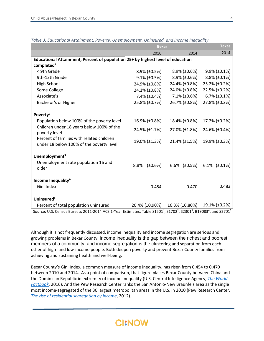|                                                                                                                                                                                 | <b>Bexar</b>            | <b>Texas</b>            |                         |
|---------------------------------------------------------------------------------------------------------------------------------------------------------------------------------|-------------------------|-------------------------|-------------------------|
|                                                                                                                                                                                 | 2010                    | 2014                    |                         |
| Educational Attainment, Percent of population 25+ by highest level of education                                                                                                 |                         |                         |                         |
| completed <sup>1</sup>                                                                                                                                                          |                         |                         |                         |
| < 9th Grade                                                                                                                                                                     | $8.9\%$ ( $\pm 0.5\%$ ) | $8.9\%$ (±0.6%)         | $9.9\%$ ( $\pm 0.1\%$ ) |
| 9th-12th Grade                                                                                                                                                                  | $9.1\%$ ( $\pm 0.5\%$ ) | $8.9\%$ ( $\pm 0.6\%$ ) | $8.8\%$ ( $\pm 0.1\%$ ) |
| High School                                                                                                                                                                     | 24.9% (±0.8%)           | 24.4% (±0.8%)           | 25.2% (±0.2%)           |
| Some College                                                                                                                                                                    | 24.1% (±0.8%)           | 24.0% (±0.8%)           | 22.5% (±0.2%)           |
| Associate's                                                                                                                                                                     | $7.4\%$ ( $\pm 0.4\%$ ) | $7.1\%$ ( $\pm 0.6\%$ ) | $6.7\%$ ( $\pm 0.1\%$ ) |
| Bachelor's or Higher                                                                                                                                                            | 25.8% (±0.7%)           | 26.7% (±0.8%)           | 27.8% (±0.2%)           |
|                                                                                                                                                                                 |                         |                         |                         |
| Poverty <sup>2</sup>                                                                                                                                                            |                         |                         |                         |
| Population below 100% of the poverty level                                                                                                                                      | 16.9% (±0.8%)           | 18.4% (±0.8%)           | 17.2% (±0.2%)           |
| Children under 18 years below 100% of the<br>poverty level                                                                                                                      | 24.5% (±1.7%)           | 27.0% (±1.8%)           | 24.6% (±0.4%)           |
| Percent of families with related children<br>under 18 below 100% of the poverty level                                                                                           | 19.0% (±1.3%)           | $21.4\%$ (±1.5%)        | 19.9% (±0.3%)           |
| Unemployment <sup>3</sup>                                                                                                                                                       |                         |                         |                         |
| Unemployment rate population 16 and<br>older                                                                                                                                    | 8.8%<br>$(\pm 0.6%)$    | 6.6% $(\pm 0.5%)$       | 6.1% $(\pm 0.1\%)$      |
| Income Inequality <sup>4</sup>                                                                                                                                                  |                         |                         |                         |
| Gini Index                                                                                                                                                                      | 0.454                   | 0.470                   | 0.483                   |
| Uninsured <sup>5</sup>                                                                                                                                                          |                         |                         |                         |
| Percent of total population uninsured                                                                                                                                           | 20.4% (±0.90%)          | 16.3% (±0.80%)          | 19.1% (±0.2%)           |
| Source: U.S. Census Bureau; 2011-2014 ACS 1-Year Estimates, Table S1501 <sup>1</sup> , S1702 <sup>2</sup> , S2301 <sup>3</sup> , B19083 <sup>4</sup> , and S2701 <sup>5</sup> . |                         |                         |                         |

#### *Table 3. Educational Attainment, Poverty, Unemployment, Uninsured, and Income Inequality*

Although it is not frequently discussed, income inequality and income segregation are serious and growing problems in Bexar County. Income inequality is the gap between the richest and poorest members of a community, and income segregation is the clustering and separation from each other of high- and low-income people. Both deepen poverty and prevent Bexar County families from achieving and sustaining health and well-being.

Bexar County's Gini Index, a common measure of income inequality, has risen from 0.454 to 0.470 between 2010 and 2014. As a point of comparison, that figure places Bexar County between China and the Dominican Republic in extremity of income inequality (U.S. Central Intelligence Agency, *[The World](https://www.cia.gov/library/publications/the-world-factbook/rankorder/2172rank.html)  [Factbook](https://www.cia.gov/library/publications/the-world-factbook/rankorder/2172rank.html)*, 2016)*.* And the Pew Research Center ranks the San Antonio-New Braunfels area as the single most income-segregated of the 30 largest metropolitan areas in the U.S. in 2010 (Pew Research Center, *[The rise of residential segregation by income](http://www.pewsocialtrends.org/2012/08/01/the-rise-of-residential-segregation-by-income/)*, 2012).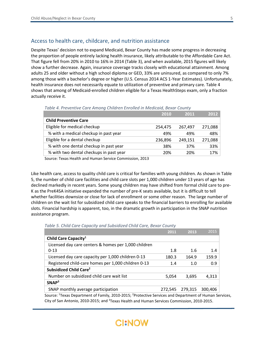### Access to health care, childcare, and nutrition assistance

Despite Texas' decision not to expand Medicaid, Bexar County has made some progress in decreasing the proportion of people entirely lacking health insurance, likely attributable to the Affordable Care Act. That figure fell from 20% in 2010 to 16% in 2014 (Table 3), and when available, 2015 figures will likely show a further decrease. Again, insurance coverage tracks closely with educational attainment. Among adults 25 and older without a high school diploma or GED, 33% are uninsured, as compared to only 7% among those with a bachelor's degree or higher (U.S. Census 2014 ACS 1-Year Estimates). Unfortunately, health insurance does not necessarily equate to utilization of preventive and primary care. Table 4 shows that among of Medicaid-enrolled children eligible for a Texas HealthSteps exam, only a fraction actually receive it.

*Table 4. Preventive Care Among Children Enrolled in Medicaid, Bexar County*

|                                         | 2010    | 2011    | 2012    |
|-----------------------------------------|---------|---------|---------|
| <b>Child Preventive Care</b>            |         |         |         |
| Eligible for medical checkup            | 254,475 | 267,497 | 271,088 |
| % with a medical checkup in past year   | 49%     | 49%     | 48%     |
| Eligible for a dental checkup           | 236,896 | 249,151 | 271,088 |
| % with one dental checkup in past year  | 38%     | 37%     | 33%     |
| % with two dental checkups in past year | 20%     | 20%     | 17%     |
|                                         |         |         |         |

Source: Texas Health and Human Service Commission, 2013

Like health care, access to quality child care is critical for families with young children. As shown in Table 5, the number of child care facilities and child care slots per 1,000 children under 13 years of age has declined markedly in recent years. Some young children may have shifted from formal child care to pre-K as the PreK4SA initiative expanded the number of pre-K seats available, but it is difficult to tell whether facilities downsize or close for lack of enrollment or some other reason. The large number of children on the wait list for subsidized child care speaks to the financial barriers to enrolling for available slots. Financial hardship is apparent, too, in the dramatic growth in participation in the SNAP nutrition assistance program.

*Table 5. Child Care Capacity and Subsidized Child Care, Bexar County*

|                                                      | 2011    | 2013    | 2015    |
|------------------------------------------------------|---------|---------|---------|
| Child Care Capacity <sup>1</sup>                     |         |         |         |
| Licensed day care centers & homes per 1,000 children |         |         |         |
| $0 - 13$                                             | 1.8     | 1.6     | 1.4     |
| Licensed day care capacity per 1,000 children 0-13   | 180.3   | 164.9   | 159.9   |
| Registered child-care homes per 1,000 children 0-13  | 1.4     | 1.0     | 0.9     |
| Subsidized Child Care <sup>2</sup>                   |         |         |         |
| Number on subsidized child care wait list            | 5,054   | 3,695   | 4,313   |
| SNAP <sup>3</sup>                                    |         |         |         |
| SNAP monthly average participation                   | 272,545 | 279,315 | 300,406 |
| $1 -$                                                |         |         |         |

Source: <sup>1</sup>Texas Department of Family, 2010-2015; <sup>2</sup>Protective Services and Department of Human Services, City of San Antonio, 2010-2015; and <sup>3</sup>Texas Health and Human Services Commission, 2010-2015.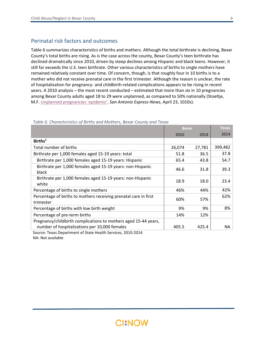### Perinatal risk factors and outcomes

Table 6 summarizes characteristics of births and mothers. Although the total birthrate is declining, Bexar County's total births are rising. As is the case across the county, Bexar County's teen birthrate has declined dramatically since 2010, driven by steep declines among Hispanic and black teens. However, it still far exceeds the U.S. teen birthrate. Other various characteristics of births to single mothers have remained relatively constant over time. Of concern, though, is that roughly four in 10 births is to a mother who did not receive prenatal care in the first trimester. Although the reason is unclear, the rate of hospitalization for pregnancy- and childbirth-related complications appears to be rising in recent years. A 2010 analysis – the most recent conducted – estimated that more than six in 10 pregnancies among Bexar County adults aged 18 to 29 were unplanned, as compared to 50% nationally (Stoeltje, M.F[. Unplanned pregnancies 'epidemic'.](http://www.mysanantonio.com/news/local_news/article/Unplanned-pregnancies-epidemic-790442.php) *San Antonio Express-News*, April 23, 1010s).

|                                                                                                                  | <b>Bexar</b> |        | <b>Texas</b> |
|------------------------------------------------------------------------------------------------------------------|--------------|--------|--------------|
|                                                                                                                  | 2010         | 2014   | 2014         |
| Births <sup>1</sup>                                                                                              |              |        |              |
| Total number of births                                                                                           | 26,074       | 27,781 | 399,482      |
| Birthrate per 1,000 females aged 15-19 years: total                                                              | 51.8         | 36.5   | 37.8         |
| Birthrate per 1,000 females aged 15-19 years: Hispanic                                                           | 65.4         | 43.8   | 54.7         |
| Birthrate per 1,000 females aged 15-19 years: non-Hispanic<br>black                                              | 46.6         | 31.8   | 39.3         |
| Birthrate per 1,000 females aged 15-19 years: non-Hispanic<br>white                                              | 18.9         | 18.0   | 23.4         |
| Percentage of births to single mothers                                                                           | 46%          | 44%    | 42%          |
| Percentage of births to mothers receiving prenatal care in first<br>trimester                                    | 60%          | 57%    | 62%          |
| Percentage of births with low birth weight                                                                       | 9%           | 9%     | 8%           |
| Percentage of pre-term births                                                                                    | 14%          | 12%    |              |
| Pregnancy/childbirth complications to mothers aged 15-44 years,<br>number of hospitalizations per 10,000 females | 405.5        | 425.4  | NА           |

#### *Table 6. Characteristics of Births and Mothers, Bexar County and Texas*

Source: Texas Department of State Health Services, 2010-2014 NA: Not available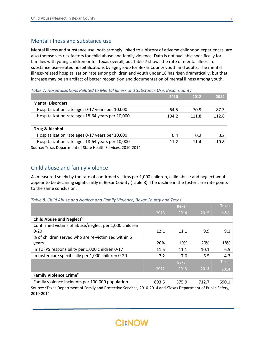### Mental illness and substance use

Mental illness and substance use, both strongly linked to a history of adverse childhood experiences, are also themselves risk factors for child abuse and family violence. Data is not available specifically for families with young children or for Texas overall, but Table 7 shows the rate of mental illness- or substance use-related hospitalizations by age group for Bexar County youth and adults. The mental illness-related hospitalization rate among children and youth under 18 has risen dramatically, but that increase may be an artifact of better recognition and documentation of mental illness among youth.

**2010 2012 2014 Mental Disorders** Hospitalization rate ages 0-17 years per 10,000 64.5 70.9 87.3 Hospitalization rate ages 18-64 years per 10,000 104.2 111.8 112.8 **Drug & Alcohol** Hospitalization rate ages 0-17 years per 10,000 and the control of the control of the control of the control of the control of the control of the control of the control of the control of the control of the control of the c Hospitalization rate ages 18-64 years per 10,000 11.2 11.4 10.8 Source: Texas Department of State Health Services, 2010-2014

*Table 7. Hospitalizations Related to Mental Illness and Substance Use, Bexar County*

### Child abuse and family violence

As measured solely by the rate of confirmed victims per 1,000 children, child abuse and neglect woul appear to be declining significantly in Bexar County (Table 8). The decline in the foster care rate points to the same conclusion.

*Table 8. Child Abuse and Neglect and Family Violence, Bexar County and Texas*

|                                                       |       | <b>Bexar</b> |       | <b>Texas</b> |
|-------------------------------------------------------|-------|--------------|-------|--------------|
|                                                       | 2013  | 2014         | 2015  | 2015         |
| Child Abuse and Neglect <sup>1</sup>                  |       |              |       |              |
| Confirmed victims of abuse/neglect per 1,000 children |       |              |       |              |
| $0 - 20$                                              | 12.1  | 11.1         | 9.9   | 9.1          |
| % of children served who are re-victimized within 5   |       |              |       |              |
| years                                                 | 20%   | 19%          | 20%   | 18%          |
| In TDFPS responsibility per 1,000 children 0-17       | 11.5  | 11.1         | 10.1  | 6.5          |
| In foster care specifically per 1,000 children 0-20   | 7.2   | 7.0          | 6.5   | 4.3          |
|                                                       |       | <b>Bexar</b> |       | <b>Texas</b> |
|                                                       | 2012  | 2013         | 2014  | 2014         |
| Family Violence Crime <sup>2</sup>                    |       |              |       |              |
| Family violence incidents per 100,000 population      | 893.5 | 575.9        | 712.7 | 690.1        |

Source: <sup>1</sup>Texas Department of Family and Protective Services, 2010-2014 and <sup>2</sup>Texas Department of Public Safety, 2010-2014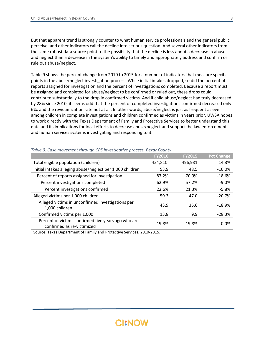But that apparent trend is strongly counter to what human service professionals and the general public perceive, and other indicators call the decline into serious question. And several other indicators from the same robust data source point to the possibility that the decline is less about a decrease in abuse and neglect than a decrease in the system's ability to timely and appropriately address and confirm or rule out abuse/neglect.

Table 9 shows the percent change from 2010 to 2015 for a number of indicators that measure specific points in the abuse/neglect investigation process. While initial intakes dropped, so did the percent of reports assigned for investigation and the percent of investigations completed. Because a report must be assigned and completed for abuse/neglect to be confirmed or ruled out, these drops could contribute substantially to the drop in confirmed victims. And if child abuse/neglect had truly decreased by 28% since 2010, it seems odd that the percent of completed investigations confirmed decreased only 6%, and the revictimization rate not at all. In other words, abuse/neglect is just as frequent as ever among children in complete investigations and children confirmed as victims in years prior. UWSA hopes to work directly with the Texas Department of Family and Protective Services to better understand this data and its implications for local efforts to decrease abuse/neglect and support the law enforcement and human services systems investigating and responding to it.

|                                                                                   | <b>FY2010</b> | <b>FY2015</b> | <b>Pct Change</b> |
|-----------------------------------------------------------------------------------|---------------|---------------|-------------------|
| Total eligible population (children)                                              | 434,810       | 496,981       | 14.3%             |
| Initial intakes alleging abuse/neglect per 1,000 children                         | 53.9          | 48.5          | $-10.0\%$         |
| Percent of reports assigned for investigation                                     | 87.2%         | 70.9%         | $-18.6%$          |
| Percent investigations completed                                                  | 62.9%         | 57.2%         | $-9.0\%$          |
| Percent investigations confirmed                                                  | 22.6%         | 21.3%         | $-5.8%$           |
| Alleged victims per 1,000 children                                                | 59.3          | 47.0          | $-20.7%$          |
| Alleged victims in unconfirmed investigations per<br>1,000 children               | 43.9          | 35.6          | $-18.9%$          |
| Confirmed victims per 1,000                                                       | 13.8          | 9.9           | $-28.3%$          |
| Percent of victims confirmed five years ago who are<br>confirmed as re-victimized | 19.8%         | 19.8%         | 0.0%              |

#### *Table 9. Case movement through CPS investigative process, Bexar County*

Source: Texas Department of Family and Protective Services, 2010-2015.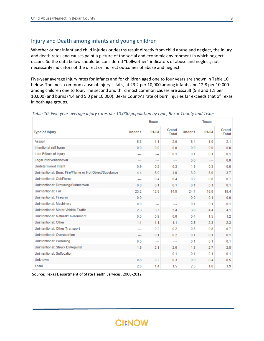### Injury and Death among infants and young children

Whether or not infant and child injuries or deaths result directly from child abuse and neglect, the injury and death rates and causes paint a picture of the social and economic environment in which neglect occurs. So the data below should be considered "bellwether" indicators of abuse and neglect, not necessarily indicators of the direct or indirect outcomes of abuse and neglect.

Five-year average Injury rates for infants and for children aged one to four years are shown in Table 10 below. The most common cause of injury is falls, at 23.2 per 10,000 among infants and 12.8 per 10,000 among children one to four. The second and third most common causes are assault (5.3 and 1.1 per 10,000) and burns (4.4 and 5.0 per 10,000). Bexar County's rate of burn injuries far exceeds that of Texas in both age groups.

|                                                         |                | <b>Bexar</b>             |                          |         | <b>Texas</b>   |                       |
|---------------------------------------------------------|----------------|--------------------------|--------------------------|---------|----------------|-----------------------|
| <b>Type of Injury</b>                                   | Under 1        | $01 - 04$                | Grand<br><b>Total</b>    | Under 1 | $01 - 04$      | Grand<br><b>Total</b> |
| Assault                                                 | 5.3            | 1.1                      | 2.0                      | 6.4     | 1.0            | 2.1                   |
| Intentional self-harm                                   | 0.0            | 0.0                      | 0.0                      | 0.0     | 0.0            | 0.0                   |
| Late Effects of Injury                                  | ---            | ---                      | 0.1                      | 0.1     | 0.1            | 0.1                   |
| Legal Intervention/War                                  | ---            | $\overline{\phantom{a}}$ | $\overline{a}$           | 0.0     | $\overline{a}$ | 0.0                   |
| <b>Undetermined Intent</b>                              | 0.9            | 0.2                      | 0.3                      | 1.9     | 0.3            | 0.6                   |
| Unintentional: Burn, Fire/Flame or Hot Object/Substance | 4.4            | 5.0                      | 4.9                      | 3.0     | 3.9            | 3.7                   |
| Unintentional: Cut/Pierce                               | ---            | 0.4                      | 0.4                      | 0.2     | 0.8            | 0.7                   |
| Unintentional: Drowning/Submersion                      | 0.0            | 0.1                      | 0.1                      | 0.1     | 0.1            | 0.1                   |
| <b>Unintentional: Fall</b>                              | 23.2           | 12.8                     | 14.9                     | 24.7    | 16.8           | 18.4                  |
| <b>Unintentional: Firearm</b>                           | 0.0            | ---                      | $\overline{\phantom{a}}$ | 0.0     | 0.1            | 0.0                   |
| Unintentional: Machinery                                | 0.0            | ---                      | $- - -$                  | 0.1     | 0.1            | 0.1                   |
| Unintentional: Motor Vehicle Traffic                    | 2.3            | 3.7                      | 3.4                      | 3.0     | 4.4            | 4.1                   |
| Unintentional: Natural/Environment                      | 0.5            | 0.9                      | 0.8                      | 0.4     | 1.5            | 1.2                   |
| Unintentional: Other                                    | 1.1            | 1.1                      | 1.1                      | 2.5     | 2.3            | 2.3                   |
| Unintentional: Other Transport                          | ---            | 0.2                      | 0.2                      | 0.3     | 0.8            | 0.7                   |
| Unintentional: Overexertion                             | ---            | 0.1                      | 0.2                      | 0.1     | 0.1            | 0.1                   |
| Unintentional: Poisoning                                | 0.0            | ---                      | $\overline{a}$           | 0.1     | 0.1            | 0.1                   |
| Unintentional: Struck By/Against                        | 1.5            | 2.1                      | 2.0                      | 1.8     | 2.7            | 2.5                   |
| <b>Unintentional: Suffocation</b>                       | $\overline{a}$ | $\overline{a}$           | 0.1                      | 0.1     | 0.1            | 0.1                   |
| <b>Unknown</b>                                          | 0.8            | 0.2                      | 0.3                      | 0.9     | 0.4            | 0.5                   |
| <b>Total</b>                                            | 2.0            | 1.4                      | 1.5                      | 2.3     | 1.8            | 1.9                   |

*Table 10. Five-year average injury rates per 10,000 population by type, Bexar County and Texas*

Source: Texas Department of State Health Services, 2008-2012